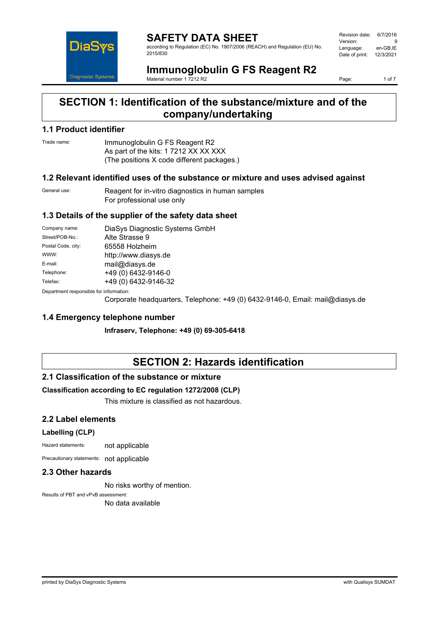

**SAFETY DATA SHEET** according to Regulation (EC) No. 1907/2006 (REACH) and Regulation (EU) No. 2015/830

Revision date: 6/7/2016 Version: 9<br>Language: en-GB.IE Language: Date of print: 12/3/2021

#### **Immunoglobulin G FS Reagent R2** Material number 1 7212 R2

Page: 1 of 7

## **SECTION 1: Identification of the substance/mixture and of the company/undertaking**

### **1.1 Product identifier**

Trade name: Immunoglobulin G FS Reagent R2 As part of the kits: 1 7212 XX XX XXX (The positions X code different packages.)

#### **1.2 Relevant identified uses of the substance or mixture and uses advised against**

General use: Reagent for in-vitro diagnostics in human samples For professional use only

#### **1.3 Details of the supplier of the safety data sheet**

| Company name:                            | DiaSys Diagnostic Systems GmbH |  |
|------------------------------------------|--------------------------------|--|
| Street/POB-No.:                          | Alte Strasse 9                 |  |
| Postal Code, city:                       | 65558 Holzheim                 |  |
| WWW:                                     | http://www.diasys.de           |  |
| E-mail:                                  | mail@diasys.de                 |  |
| Telephone:                               | +49 (0) 6432-9146-0            |  |
| Telefax:                                 | +49 (0) 6432-9146-32           |  |
| Denestraent seanenaikle fas information: |                                |  |

Department responsible for information:

Corporate headquarters, Telephone: +49 (0) 6432-9146-0, Email: mail@diasys.de

### **1.4 Emergency telephone number**

**Infraserv, Telephone: +49 (0) 69-305-6418**

# **SECTION 2: Hazards identification**

#### **2.1 Classification of the substance or mixture**

#### **Classification according to EC regulation 1272/2008 (CLP)**

This mixture is classified as not hazardous.

#### **2.2 Label elements**

#### **Labelling (CLP)**

Hazard statements: not applicable

Precautionary statements: not applicable

## **2.3 Other hazards**

No risks worthy of mention.

Results of PBT and vPvB assessment: No data available

printed by DiaSys Diagnostic Systems with Qualisys SUMDAT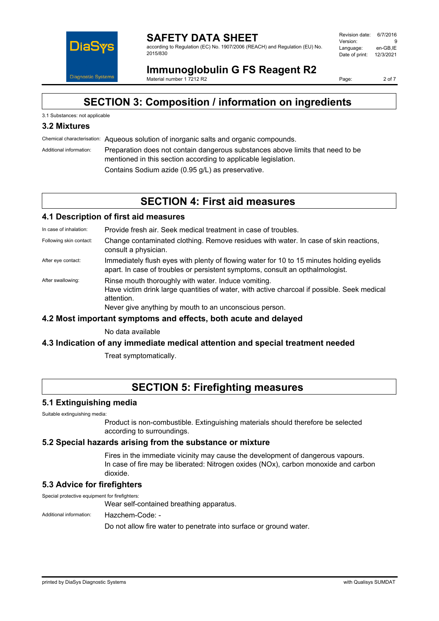

#### **SAFETY DATA SHEET** according to Regulation (EC) No. 1907/2006 (REACH) and Regulation (EU) No. 2015/830

| Revision date: | 6/7/2016  |
|----------------|-----------|
| Version:       | q         |
| Language:      | en-GB.IE  |
| Date of print: | 12/3/2021 |
|                |           |

**Immunoglobulin G FS Reagent R2** Material number 1 7212 R2

Page: 2 of 7

# **SECTION 3: Composition / information on ingredients**

## 3.1 Substances: not applicable

## **3.2 Mixtures**

Chemical characterisation: Aqueous solution of inorganic salts and organic compounds.

Additional information: Preparation does not contain dangerous substances above limits that need to be mentioned in this section according to applicable legislation. Contains Sodium azide (0.95 g/L) as preservative.

## **SECTION 4: First aid measures**

## **4.1 Description of first aid measures**

In case of inhalation: Provide fresh air. Seek medical treatment in case of troubles.

- Following skin contact: Change contaminated clothing. Remove residues with water. In case of skin reactions, consult a physician.
- After eye contact: Immediately flush eyes with plenty of flowing water for 10 to 15 minutes holding eyelids apart. In case of troubles or persistent symptoms, consult an opthalmologist.
- After swallowing: Rinse mouth thoroughly with water. Induce vomiting. Have victim drink large quantities of water, with active charcoal if possible. Seek medical attention. Never give anything by mouth to an unconscious person.

#### **4.2 Most important symptoms and effects, both acute and delayed**

No data available

#### **4.3 Indication of any immediate medical attention and special treatment needed**

Treat symptomatically.

## **SECTION 5: Firefighting measures**

#### **5.1 Extinguishing media**

Suitable extinguishing media:

Product is non-combustible. Extinguishing materials should therefore be selected according to surroundings.

#### **5.2 Special hazards arising from the substance or mixture**

Fires in the immediate vicinity may cause the development of dangerous vapours. In case of fire may be liberated: Nitrogen oxides (NOx), carbon monoxide and carbon dioxide.

## **5.3 Advice for firefighters**

Special protective equipment for firefighters:

Wear self-contained breathing apparatus.

Additional information: Hazchem-Code: -

Do not allow fire water to penetrate into surface or ground water.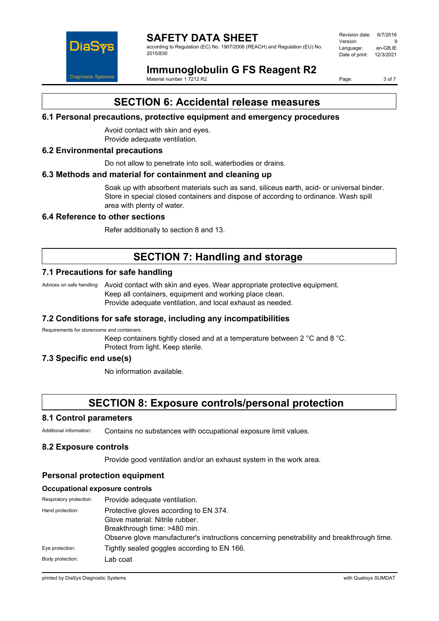

# **SAFETY DATA SHEET**

according to Regulation (EC) No. 1907/2006 (REACH) and Regulation (EU) No. 2015/830

Revision date: 6/7/2016 Version: 9<br>Language: en-GB IE Language: Date of print: 12/3/2021

# **Immunoglobulin G FS Reagent R2**

Material number 1 7212 R2

Page: 3 of 7

# **SECTION 6: Accidental release measures**

## **6.1 Personal precautions, protective equipment and emergency procedures**

Avoid contact with skin and eyes. Provide adequate ventilation.

### **6.2 Environmental precautions**

Do not allow to penetrate into soil, waterbodies or drains.

#### **6.3 Methods and material for containment and cleaning up**

Soak up with absorbent materials such as sand, siliceus earth, acid- or universal binder. Store in special closed containers and dispose of according to ordinance. Wash spill area with plenty of water.

## **6.4 Reference to other sections**

Refer additionally to section 8 and 13.

# **SECTION 7: Handling and storage**

## **7.1 Precautions for safe handling**

Advices on safe handling: Avoid contact with skin and eyes. Wear appropriate protective equipment. Keep all containers, equipment and working place clean. Provide adequate ventilation, and local exhaust as needed.

## **7.2 Conditions for safe storage, including any incompatibilities**

Requirements for storerooms and containers:

Keep containers tightly closed and at a temperature between 2 °C and 8 °C. Protect from light. Keep sterile.

## **7.3 Specific end use(s)**

No information available.

# **SECTION 8: Exposure controls/personal protection**

#### **8.1 Control parameters**

Additional information: Contains no substances with occupational exposure limit values.

#### **8.2 Exposure controls**

Provide good ventilation and/or an exhaust system in the work area.

## **Personal protection equipment**

#### **Occupational exposure controls**

| Respiratory protection: | Provide adequate ventilation.                                                                                                                                                                          |
|-------------------------|--------------------------------------------------------------------------------------------------------------------------------------------------------------------------------------------------------|
| Hand protection:        | Protective gloves according to EN 374.<br>Glove material: Nitrile rubber.<br>Breakthrough time: >480 min.<br>Observe glove manufacturer's instructions concerning penetrability and breakthrough time. |
| Eye protection:         | Tightly sealed goggles according to EN 166.                                                                                                                                                            |
| Body protection:        | Lab coat                                                                                                                                                                                               |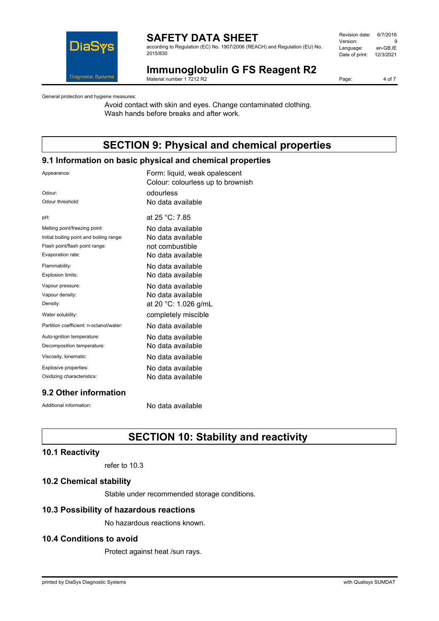

## **SAFETY DATA SHEET**

according to Regulation (EC) No. 1907/2006 (REACH) and Regulation (EU) No. 2015/830

| Revision date: | 6/7/2016  |
|----------------|-----------|
| Version:       | q         |
| Language:      | en-GB.IE  |
| Date of print: | 12/3/2021 |
|                |           |

# **Immunoglobulin G FS Reagent R2**

Material number 1 7212 R2

Page: 4 of 7

General protection and hygiene measures:

Avoid contact with skin and eyes. Change contaminated clothing. Wash hands before breaks and after work.

# **SECTION 9: Physical and chemical properties**

## **9.1 Information on basic physical and chemical properties**

| Appearance:                              | Form: liquid, weak opalescent<br>Colour: colourless up to brownish |
|------------------------------------------|--------------------------------------------------------------------|
| Odour:                                   | odourless                                                          |
| Odour threshold:                         | No data available                                                  |
| pH:                                      | at $25 °C$ : 7.85                                                  |
| Melting point/freezing point:            | No data available                                                  |
| Initial boiling point and boiling range: | No data available                                                  |
| Flash point/flash point range:           | not combustible                                                    |
| Evaporation rate:                        | No data available                                                  |
| Flammability:                            | No data available                                                  |
| <b>Explosion limits:</b>                 | No data available                                                  |
| Vapour pressure:                         | No data available                                                  |
| Vapour density:                          | No data available                                                  |
| Density:                                 | at 20 °C: 1.026 g/mL                                               |
| Water solubility:                        | completely miscible                                                |
| Partition coefficient: n-octanol/water:  | No data available                                                  |
| Auto-ignition temperature:               | No data available                                                  |
| Decomposition temperature:               | No data available                                                  |
| Viscosity, kinematic:                    | No data available                                                  |
| Explosive properties:                    | No data available                                                  |
| Oxidizing characteristics:               | No data available                                                  |
|                                          |                                                                    |

## **9.2 Other information**

Additional information: No data available

# **SECTION 10: Stability and reactivity**

## **10.1 Reactivity**

refer to 10.3

## **10.2 Chemical stability**

Stable under recommended storage conditions.

## **10.3 Possibility of hazardous reactions**

No hazardous reactions known.

## **10.4 Conditions to avoid**

Protect against heat /sun rays.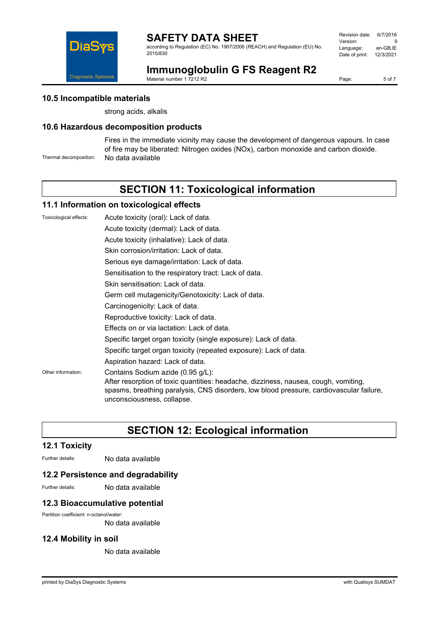

according to Regulation (EC) No. 1907/2006 (REACH) and Regulation (EU) No. 2015/830

| Revision date: | 6/7/2016  |
|----------------|-----------|
| Version:       | я         |
| Language:      | en-GB.IE  |
| Date of print: | 12/3/2021 |
|                |           |



**Immunoglobulin G FS Reagent R2**

Material number 1 7212 R2

Page: 5 of 7

## **10.5 Incompatible materials**

strong acids, alkalis

## **10.6 Hazardous decomposition products**

Fires in the immediate vicinity may cause the development of dangerous vapours. In case of fire may be liberated: Nitrogen oxides (NOx), carbon monoxide and carbon dioxide. Thermal decomposition: No data available

# **SECTION 11: Toxicological information**

### **11.1 Information on toxicological effects**

Toxicological effects: Acute toxicity (oral): Lack of data. Acute toxicity (dermal): Lack of data. Acute toxicity (inhalative): Lack of data. Skin corrosion/irritation: Lack of data. Serious eye damage/irritation: Lack of data. Sensitisation to the respiratory tract: Lack of data. Skin sensitisation: Lack of data. Germ cell mutagenicity/Genotoxicity: Lack of data. Carcinogenicity: Lack of data. Reproductive toxicity: Lack of data. Effects on or via lactation: Lack of data. Specific target organ toxicity (single exposure): Lack of data. Specific target organ toxicity (repeated exposure): Lack of data. Aspiration hazard: Lack of data. Other information: Contains Sodium azide (0.95 g/L): After resorption of toxic quantities: headache, dizziness, nausea, cough, vomiting, spasms, breathing paralysis, CNS disorders, low blood pressure, cardiovascular failure, unconsciousness, collapse.

# **SECTION 12: Ecological information**

## **12.1 Toxicity**

Further details: No data available

#### **12.2 Persistence and degradability**

Further details: No data available

#### **12.3 Bioaccumulative potential**

Partition coefficient: n-octanol/water:

No data available

## **12.4 Mobility in soil**

No data available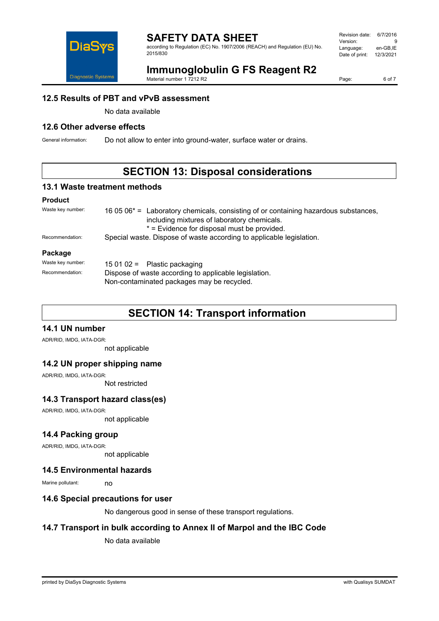

## **SAFETY DATA SHEET**

according to Regulation (EC) No. 1907/2006 (REACH) and Regulation (EU) No. 2015/830

| Revision date: | 6/7/2016  |
|----------------|-----------|
| Version:       | я         |
| Language:      | en-GB.IE  |
| Date of print: | 12/3/2021 |
|                |           |

# **Immunoglobulin G FS Reagent R2**

Material number 1 7212 R2

Page: 6 of 7

## **12.5 Results of PBT and vPvB assessment**

No data available

## **12.6 Other adverse effects**

General information: Do not allow to enter into ground-water, surface water or drains.

# **SECTION 13: Disposal considerations**

#### **13.1 Waste treatment methods**

#### **Product**

| Waste key number: | 16 05 06 <sup>*</sup> = Laboratory chemicals, consisting of or containing hazardous substances,<br>including mixtures of laboratory chemicals.<br>* = Evidence for disposal must be provided. |
|-------------------|-----------------------------------------------------------------------------------------------------------------------------------------------------------------------------------------------|
| Recommendation:   | Special waste. Dispose of waste according to applicable legislation.                                                                                                                          |
| Package           |                                                                                                                                                                                               |
| Waste key number: | 15 01 02 = Plastic packaging                                                                                                                                                                  |
| Recommendation:   | Dispose of waste according to applicable legislation.<br>Non-contaminated packages may be recycled.                                                                                           |

# **SECTION 14: Transport information**

## **14.1 UN number**

ADR/RID, IMDG, IATA-DGR:

not applicable

#### **14.2 UN proper shipping name**

ADR/RID, IMDG, IATA-DGR:

Not restricted

## **14.3 Transport hazard class(es)**

ADR/RID, IMDG, IATA-DGR:

not applicable

### **14.4 Packing group**

ADR/RID, IMDG, IATA-DGR:

not applicable

#### **14.5 Environmental hazards**

Marine pollutant: no

#### **14.6 Special precautions for user**

No dangerous good in sense of these transport regulations.

## **14.7 Transport in bulk according to Annex II of Marpol and the IBC Code**

No data available